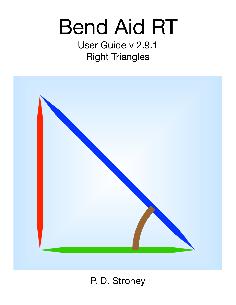# Bend Aid RT

User Guide v 2.9.1 Right Triangles



# P. D. Stroney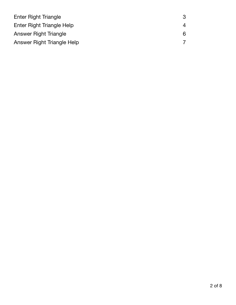| Enter Right Triangle       |   |
|----------------------------|---|
| Enter Right Triangle Help  | 4 |
| Answer Right Triangle      | 6 |
| Answer Right Triangle Help |   |
|                            |   |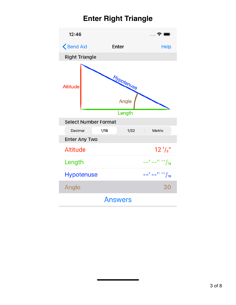# <span id="page-2-0"></span>**Enter Right Triangle**

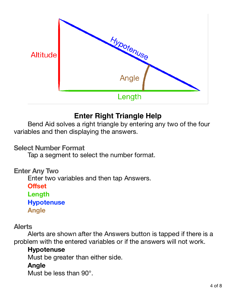

## <span id="page-3-0"></span>**Enter Right Triangle Help**

Bend Aid solves a right triangle by entering any two of the four variables and then displaying the answers.

#### **Select Number Format**

Tap a segment to select the number format.

#### **Enter Any Two**  Enter two variables and then tap Answers. **Offset Length Hypotenuse Angle**

#### **Alerts**

Alerts are shown after the Answers button is tapped if there is a problem with the entered variables or if the answers will not work.

#### **Hypotenuse**

Must be greater than either side.

#### **Angle**

Must be less than 90°.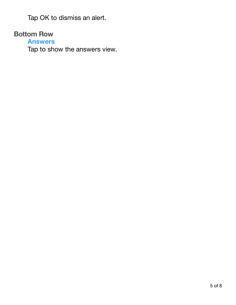Tap OK to dismiss an alert.

#### **Bottom Row**

**Answers** 

Tap to show the answers view.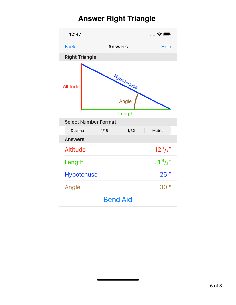# <span id="page-5-0"></span>**Answer Right Triangle**